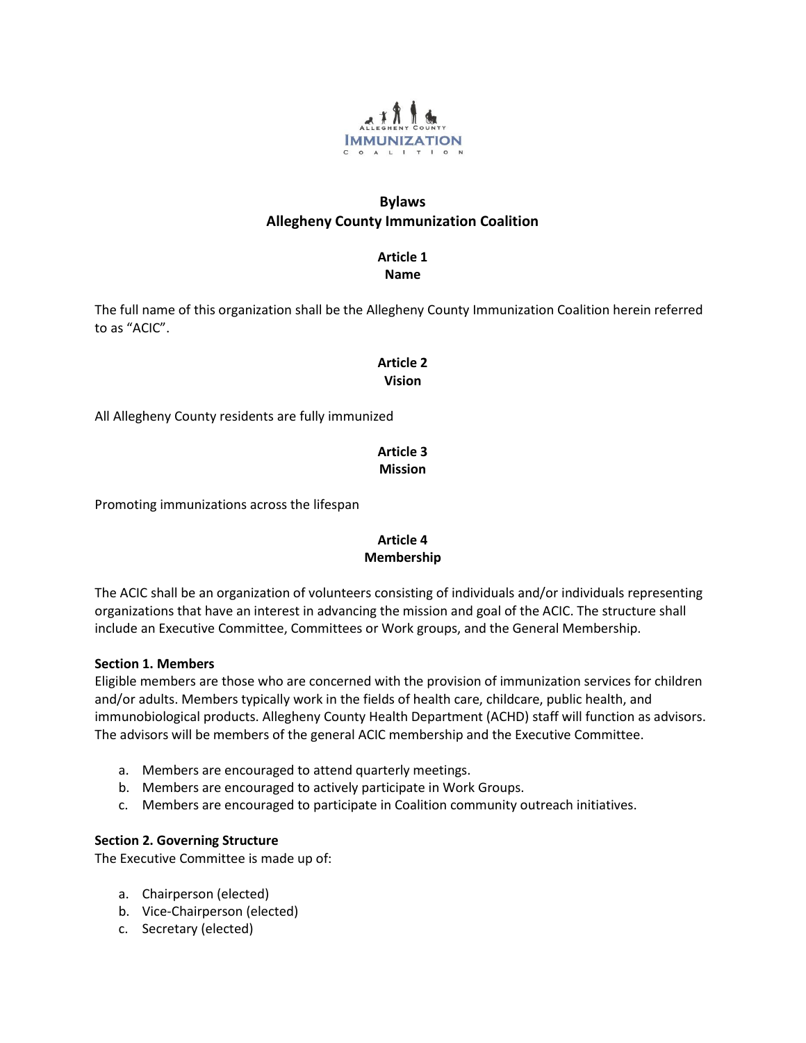

# **Bylaws Allegheny County Immunization Coalition**

**Article 1**

**Name**

The full name of this organization shall be the Allegheny County Immunization Coalition herein referred to as "ACIC".

# **Article 2 Vision**

All Allegheny County residents are fully immunized

# **Article 3 Mission**

Promoting immunizations across the lifespan

# **Article 4 Membership**

The ACIC shall be an organization of volunteers consisting of individuals and/or individuals representing organizations that have an interest in advancing the mission and goal of the ACIC. The structure shall include an Executive Committee, Committees or Work groups, and the General Membership.

# **Section 1. Members**

Eligible members are those who are concerned with the provision of immunization services for children and/or adults. Members typically work in the fields of health care, childcare, public health, and immunobiological products. Allegheny County Health Department (ACHD) staff will function as advisors. The advisors will be members of the general ACIC membership and the Executive Committee.

- a. Members are encouraged to attend quarterly meetings.
- b. Members are encouraged to actively participate in Work Groups.
- c. Members are encouraged to participate in Coalition community outreach initiatives.

# **Section 2. Governing Structure**

The Executive Committee is made up of:

- a. Chairperson (elected)
- b. Vice-Chairperson (elected)
- c. Secretary (elected)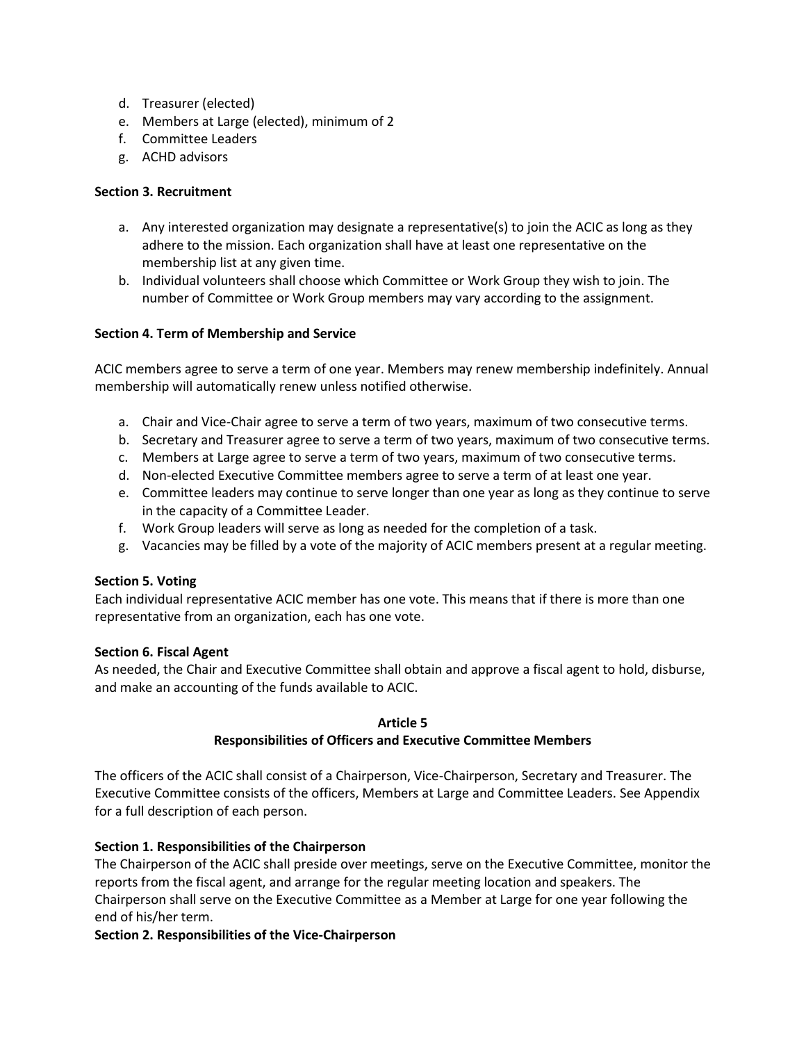- d. Treasurer (elected)
- e. Members at Large (elected), minimum of 2
- f. Committee Leaders
- g. ACHD advisors

## **Section 3. Recruitment**

- a. Any interested organization may designate a representative(s) to join the ACIC as long as they adhere to the mission. Each organization shall have at least one representative on the membership list at any given time.
- b. Individual volunteers shall choose which Committee or Work Group they wish to join. The number of Committee or Work Group members may vary according to the assignment.

### **Section 4. Term of Membership and Service**

ACIC members agree to serve a term of one year. Members may renew membership indefinitely. Annual membership will automatically renew unless notified otherwise.

- a. Chair and Vice-Chair agree to serve a term of two years, maximum of two consecutive terms.
- b. Secretary and Treasurer agree to serve a term of two years, maximum of two consecutive terms.
- c. Members at Large agree to serve a term of two years, maximum of two consecutive terms.
- d. Non-elected Executive Committee members agree to serve a term of at least one year.
- e. Committee leaders may continue to serve longer than one year as long as they continue to serve in the capacity of a Committee Leader.
- f. Work Group leaders will serve as long as needed for the completion of a task.
- g. Vacancies may be filled by a vote of the majority of ACIC members present at a regular meeting.

## **Section 5. Voting**

Each individual representative ACIC member has one vote. This means that if there is more than one representative from an organization, each has one vote.

#### **Section 6. Fiscal Agent**

As needed, the Chair and Executive Committee shall obtain and approve a fiscal agent to hold, disburse, and make an accounting of the funds available to ACIC.

#### **Article 5**

#### **Responsibilities of Officers and Executive Committee Members**

The officers of the ACIC shall consist of a Chairperson, Vice-Chairperson, Secretary and Treasurer. The Executive Committee consists of the officers, Members at Large and Committee Leaders. See Appendix for a full description of each person.

## **Section 1. Responsibilities of the Chairperson**

The Chairperson of the ACIC shall preside over meetings, serve on the Executive Committee, monitor the reports from the fiscal agent, and arrange for the regular meeting location and speakers. The Chairperson shall serve on the Executive Committee as a Member at Large for one year following the end of his/her term.

#### **Section 2. Responsibilities of the Vice-Chairperson**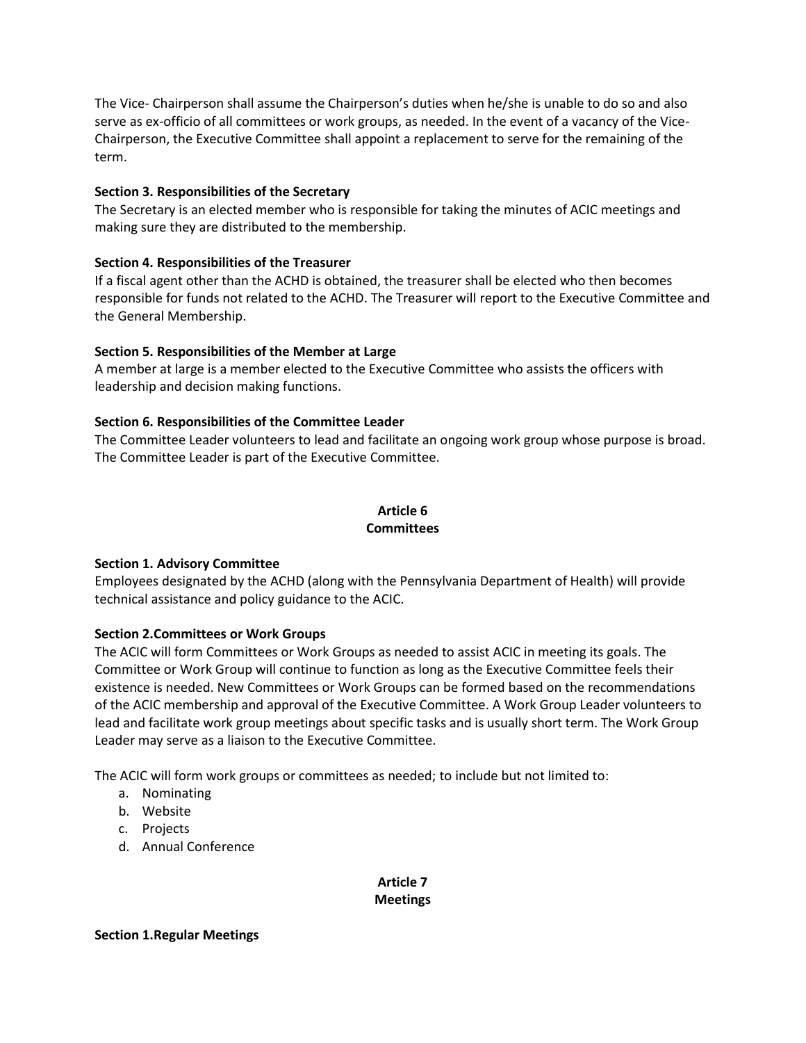The Vice- Chairperson shall assume the Chairperson's duties when he/she is unable to do so and also serve as ex-officio of all committees or work groups, as needed. In the event of a vacancy of the Vice-Chairperson, the Executive Committee shall appoint a replacement to serve for the remaining of the term.

## **Section 3. Responsibilities of the Secretary**

The Secretary is an elected member who is responsible for taking the minutes of ACIC meetings and making sure they are distributed to the membership.

## **Section 4. Responsibilities of the Treasurer**

If a fiscal agent other than the ACHD is obtained, the treasurer shall be elected who then becomes responsible for funds not related to the ACHD. The Treasurer will report to the Executive Committee and the General Membership.

## **Section 5. Responsibilities of the Member at Large**

A member at large is a member elected to the Executive Committee who assists the officers with leadership and decision making functions.

## **Section 6. Responsibilities of the Committee Leader**

The Committee Leader volunteers to lead and facilitate an ongoing work group whose purpose is broad. The Committee Leader is part of the Executive Committee.

# **Article 6 Committees**

## **Section 1. Advisory Committee**

Employees designated by the ACHD (along with the Pennsylvania Department of Health) will provide technical assistance and policy guidance to the ACIC.

## **Section 2.Committees or Work Groups**

The ACIC will form Committees or Work Groups as needed to assist ACIC in meeting its goals. The Committee or Work Group will continue to function as long as the Executive Committee feels their existence is needed. New Committees or Work Groups can be formed based on the recommendations of the ACIC membership and approval of the Executive Committee. A Work Group Leader volunteers to lead and facilitate work group meetings about specific tasks and is usually short term. The Work Group Leader may serve as a liaison to the Executive Committee.

The ACIC will form work groups or committees as needed; to include but not limited to:

- a. Nominating
- b. Website
- c. Projects
- d. Annual Conference

# **Article 7 Meetings**

## **Section 1.Regular Meetings**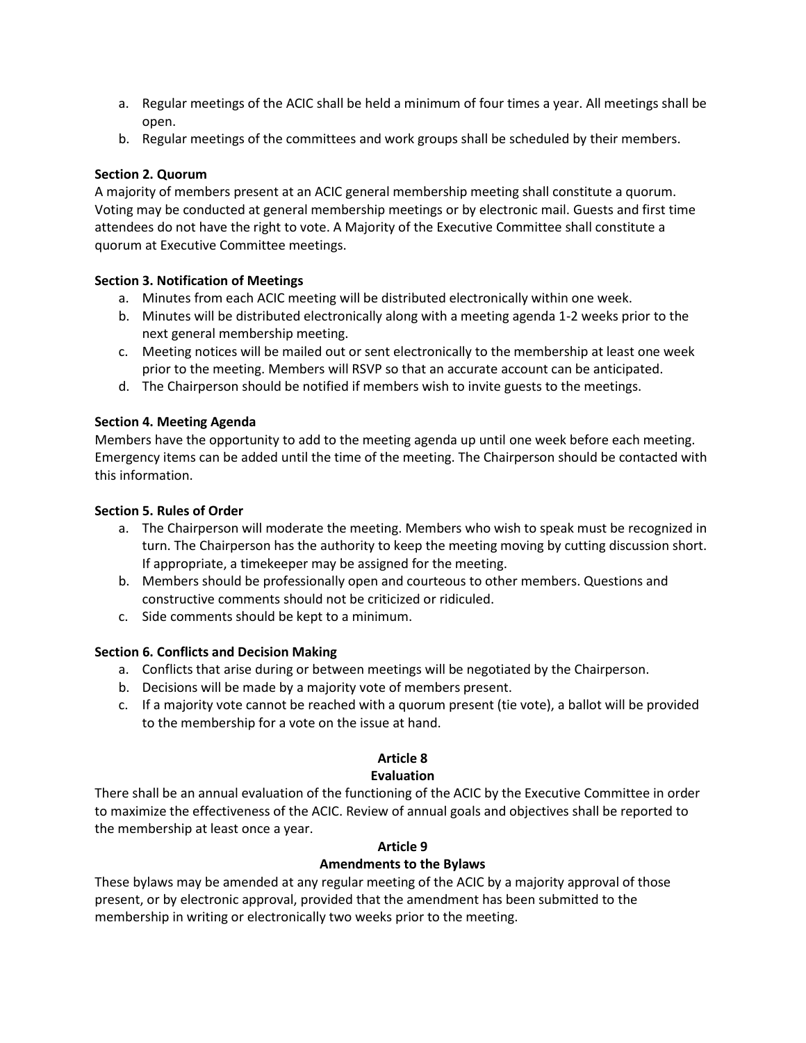- a. Regular meetings of the ACIC shall be held a minimum of four times a year. All meetings shall be open.
- b. Regular meetings of the committees and work groups shall be scheduled by their members.

## **Section 2. Quorum**

A majority of members present at an ACIC general membership meeting shall constitute a quorum. Voting may be conducted at general membership meetings or by electronic mail. Guests and first time attendees do not have the right to vote. A Majority of the Executive Committee shall constitute a quorum at Executive Committee meetings.

## **Section 3. Notification of Meetings**

- a. Minutes from each ACIC meeting will be distributed electronically within one week.
- b. Minutes will be distributed electronically along with a meeting agenda 1-2 weeks prior to the next general membership meeting.
- c. Meeting notices will be mailed out or sent electronically to the membership at least one week prior to the meeting. Members will RSVP so that an accurate account can be anticipated.
- d. The Chairperson should be notified if members wish to invite guests to the meetings.

## **Section 4. Meeting Agenda**

Members have the opportunity to add to the meeting agenda up until one week before each meeting. Emergency items can be added until the time of the meeting. The Chairperson should be contacted with this information.

## **Section 5. Rules of Order**

- a. The Chairperson will moderate the meeting. Members who wish to speak must be recognized in turn. The Chairperson has the authority to keep the meeting moving by cutting discussion short. If appropriate, a timekeeper may be assigned for the meeting.
- b. Members should be professionally open and courteous to other members. Questions and constructive comments should not be criticized or ridiculed.
- c. Side comments should be kept to a minimum.

## **Section 6. Conflicts and Decision Making**

- a. Conflicts that arise during or between meetings will be negotiated by the Chairperson.
- b. Decisions will be made by a majority vote of members present.
- c. If a majority vote cannot be reached with a quorum present (tie vote), a ballot will be provided to the membership for a vote on the issue at hand.

# **Article 8**

# **Evaluation**

There shall be an annual evaluation of the functioning of the ACIC by the Executive Committee in order to maximize the effectiveness of the ACIC. Review of annual goals and objectives shall be reported to the membership at least once a year.

## **Article 9**

## **Amendments to the Bylaws**

These bylaws may be amended at any regular meeting of the ACIC by a majority approval of those present, or by electronic approval, provided that the amendment has been submitted to the membership in writing or electronically two weeks prior to the meeting.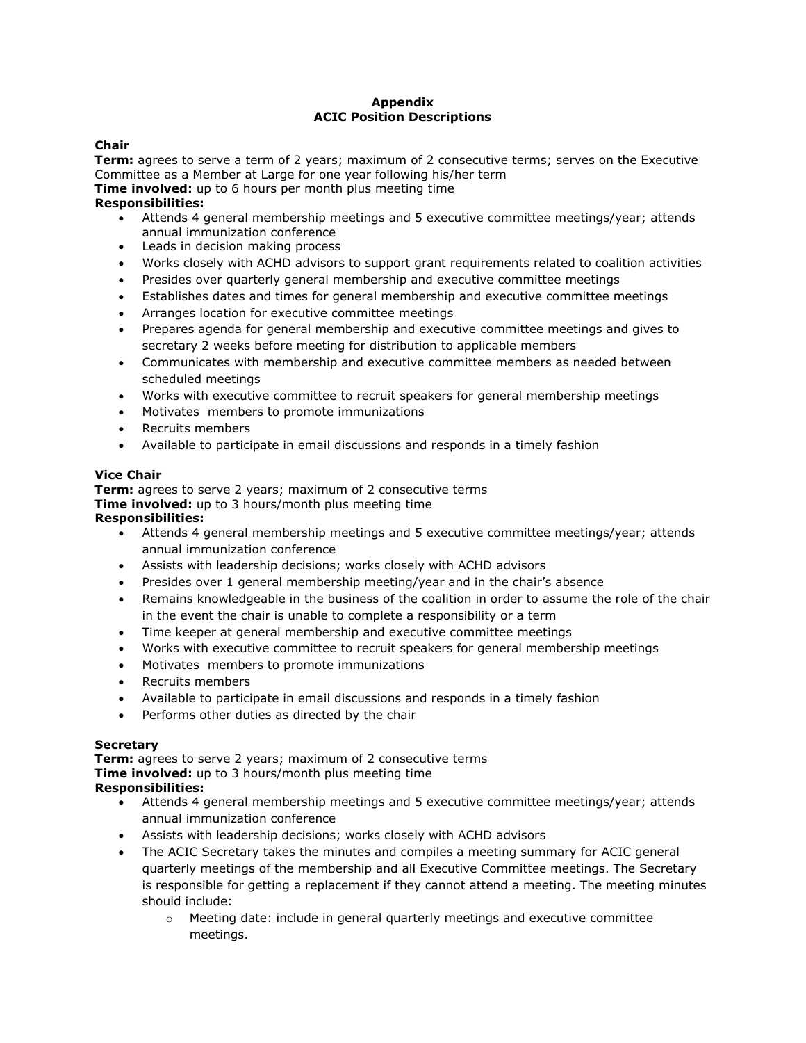#### **Appendix ACIC Position Descriptions**

#### **Chair**

**Term:** agrees to serve a term of 2 years; maximum of 2 consecutive terms; serves on the Executive Committee as a Member at Large for one year following his/her term

**Time involved:** up to 6 hours per month plus meeting time

### **Responsibilities:**

- Attends 4 general membership meetings and 5 executive committee meetings/year; attends annual immunization conference
- Leads in decision making process
- Works closely with ACHD advisors to support grant requirements related to coalition activities
- Presides over quarterly general membership and executive committee meetings
- Establishes dates and times for general membership and executive committee meetings
- Arranges location for executive committee meetings
- Prepares agenda for general membership and executive committee meetings and gives to secretary 2 weeks before meeting for distribution to applicable members
- Communicates with membership and executive committee members as needed between scheduled meetings
- Works with executive committee to recruit speakers for general membership meetings
- Motivates members to promote immunizations
- Recruits members
- Available to participate in email discussions and responds in a timely fashion

### **Vice Chair**

**Term:** agrees to serve 2 years; maximum of 2 consecutive terms **Time involved:** up to 3 hours/month plus meeting time

#### **Responsibilities:**

- Attends 4 general membership meetings and 5 executive committee meetings/year; attends annual immunization conference
- Assists with leadership decisions; works closely with ACHD advisors
- Presides over 1 general membership meeting/year and in the chair's absence
- Remains knowledgeable in the business of the coalition in order to assume the role of the chair in the event the chair is unable to complete a responsibility or a term
- Time keeper at general membership and executive committee meetings
- Works with executive committee to recruit speakers for general membership meetings
- Motivates members to promote immunizations
- Recruits members
- Available to participate in email discussions and responds in a timely fashion
- **•** Performs other duties as directed by the chair

#### **Secretary**

**Term:** agrees to serve 2 years; maximum of 2 consecutive terms **Time involved:** up to 3 hours/month plus meeting time **Responsibilities:**

- Attends 4 general membership meetings and 5 executive committee meetings/year; attends annual immunization conference
- Assists with leadership decisions; works closely with ACHD advisors
- The ACIC Secretary takes the minutes and compiles a meeting summary for ACIC general quarterly meetings of the membership and all Executive Committee meetings. The Secretary is responsible for getting a replacement if they cannot attend a meeting. The meeting minutes should include:
	- $\circ$  Meeting date: include in general quarterly meetings and executive committee meetings.